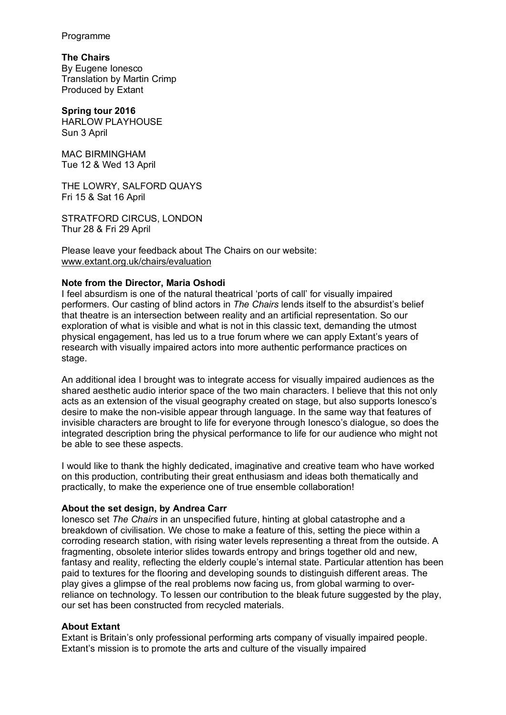Programme

**The Chairs** By Eugene Ionesco Translation by Martin Crimp Produced by Extant

**Spring tour 2016** HARLOW PLAYHOUSE Sun 3 April

MAC BIRMINGHAM Tue 12 & Wed 13 April

THE LOWRY, SALFORD QUAYS Fri 15 & Sat 16 April

STRATFORD CIRCUS, LONDON Thur 28 & Fri 29 April

Please leave your feedback about The Chairs on our website: www.extant.org.uk/chairs/evaluation

# **Note from the Director, Maria Oshodi**

I feel absurdism is one of the natural theatrical 'ports of call' for visually impaired performers. Our casting of blind actors in *The Chairs* lends itself to the absurdist's belief that theatre is an intersection between reality and an artificial representation. So our exploration of what is visible and what is not in this classic text, demanding the utmost physical engagement, has led us to a true forum where we can apply Extant's years of research with visually impaired actors into more authentic performance practices on stage.

An additional idea I brought was to integrate access for visually impaired audiences as the shared aesthetic audio interior space of the two main characters. I believe that this not only acts as an extension of the visual geography created on stage, but also supports Ionesco's desire to make the non-visible appear through language. In the same way that features of invisible characters are brought to life for everyone through Ionesco's dialogue, so does the integrated description bring the physical performance to life for our audience who might not be able to see these aspects.

I would like to thank the highly dedicated, imaginative and creative team who have worked on this production, contributing their great enthusiasm and ideas both thematically and practically, to make the experience one of true ensemble collaboration!

## **About the set design, by Andrea Carr**

Ionesco set *The Chairs* in an unspecified future, hinting at global catastrophe and a breakdown of civilisation. We chose to make a feature of this, setting the piece within a corroding research station, with rising water levels representing a threat from the outside. A fragmenting, obsolete interior slides towards entropy and brings together old and new, fantasy and reality, reflecting the elderly couple's internal state. Particular attention has been paid to textures for the flooring and developing sounds to distinguish different areas. The play gives a glimpse of the real problems now facing us, from global warming to overreliance on technology. To lessen our contribution to the bleak future suggested by the play, our set has been constructed from recycled materials.

## **About Extant**

Extant is Britain's only professional performing arts company of visually impaired people. Extant's mission is to promote the arts and culture of the visually impaired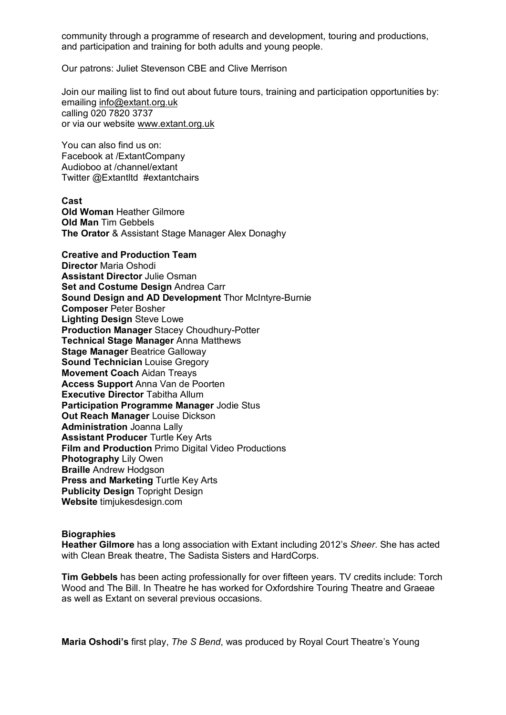community through a programme of research and development, touring and productions, and participation and training for both adults and young people.

Our patrons: Juliet Stevenson CBE and Clive Merrison

Join our mailing list to find out about future tours, training and participation opportunities by: emailing info@extant.org.uk calling 020 7820 3737 or via our website www.extant.org.uk

You can also find us on: Facebook at /ExtantCompany Audioboo at /channel/extant Twitter @Extantltd #extantchairs

**Cast**

**Old Woman** Heather Gilmore **Old Man** Tim Gebbels **The Orator** & Assistant Stage Manager Alex Donaghy

**Creative and Production Team Director** Maria Oshodi **Assistant Director** Julie Osman **Set and Costume Design** Andrea Carr **Sound Design and AD Development** Thor McIntyre-Burnie **Composer** Peter Bosher **Lighting Design** Steve Lowe **Production Manager** Stacey Choudhury-Potter **Technical Stage Manager** Anna Matthews **Stage Manager** Beatrice Galloway **Sound Technician** Louise Gregory **Movement Coach** Aidan Treays **Access Support** Anna Van de Poorten **Executive Director** Tabitha Allum **Participation Programme Manager** Jodie Stus **Out Reach Manager** Louise Dickson **Administration** Joanna Lally **Assistant Producer** Turtle Key Arts **Film and Production** Primo Digital Video Productions **Photography** Lily Owen **Braille** Andrew Hodgson **Press and Marketing Turtle Key Arts Publicity Design** Topright Design **Website** timjukesdesign.com

### **Biographies**

**Heather Gilmore** has a long association with Extant including 2012's *Sheer*. She has acted with Clean Break theatre, The Sadista Sisters and HardCorps.

**Tim Gebbels** has been acting professionally for over fifteen years. TV credits include: Torch Wood and The Bill. In Theatre he has worked for Oxfordshire Touring Theatre and Graeae as well as Extant on several previous occasions.

**Maria Oshodi's** first play, *The S Bend*, was produced by Royal Court Theatre's Young